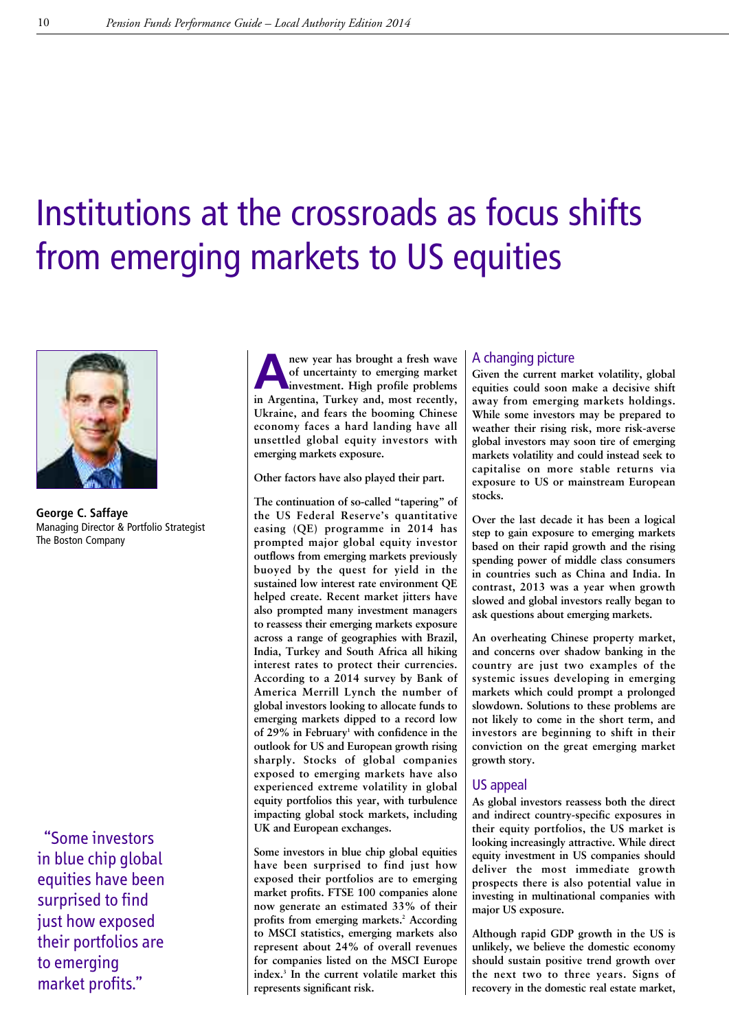# Institutions at the crossroads as focus shifts from emerging markets to US equities



**George C. Saffaye** Managing Director & Portfolio Strategist The Boston Company

"Some investors in blue chip global equities have been surprised to find just how exposed their portfolios are to emerging market profits."

**A**<br> **A**<br> **A**<br> **investment. High** profile problems<br> **in Appenting** Turkey and most recently **of uncertainty to emerging market in Argentina, Turkey and, most recently, Ukraine, and fears the booming Chinese economy faces a hard landing have all unsettled global equity investors with emerging markets exposure.**

**Other factors have also played their part.**

**The continuation of so-called "tapering" of the US Federal Reserve's quantitative easing (QE) programme in 2014 has prompted major global equity investor outflows from emerging markets previously buoyed by the quest for yield in the sustained low interest rate environment QE helped create. Recent market jitters have also prompted many investment managers to reassess their emerging markets exposure across a range of geographies with Brazil, India, Turkey and South Africa all hiking interest rates to protect their currencies. According to a 2014 survey by Bank of America Merrill Lynch the number of global investors looking to allocate funds to emerging markets dipped to a record low of 29% in February1 with confidence in the outlook for US and European growth rising sharply. Stocks of global companies exposed to emerging markets have also experienced extreme volatility in global equity portfolios this year, with turbulence impacting global stock markets, including UK and European exchanges.**

**Some investors in blue chip global equities have been surprised to find just how exposed their portfolios are to emerging market profits. FTSE 100 companies alone now generate an estimated 33% of their profits from emerging markets. <sup>2</sup> According to MSCI statistics, emerging markets also represent about 24% of overall revenues for companies listed on the MSCI Europe index. <sup>3</sup> In the current volatile market this represents significant risk.**

## A changing picture

**Given the current market volatility, global equities could soon make a decisive shift away from emerging markets holdings. While some investors may be prepared to weather their rising risk, more risk-averse global investors may soon tire of emerging markets volatility and could instead seek to capitalise on more stable returns via exposure to US or mainstream European stocks.**

**Over the last decade it has been a logical step to gain exposure to emerging markets based on their rapid growth and the rising spending power of middle class consumers in countries such as China and India. In contrast, 2013 was a year when growth slowed and global investors really began to ask questions about emerging markets.**

**An overheating Chinese property market, and concerns over shadow banking in the country are just two examples of the systemic issues developing in emerging markets which could prompt a prolonged slowdown. Solutions to these problems are not likely to come in the short term, and investors are beginning to shift in their conviction on the great emerging market growth story.**

### US appeal

**As global investors reassess both the direct and indirect country-specific exposures in their equity portfolios, the US market is looking increasingly attractive. While direct equity investment in US companies should deliver the most immediate growth prospects there is also potential value in investing in multinational companies with major US exposure.**

**Although rapid GDP growth in the US is unlikely, we believe the domestic economy should sustain positive trend growth over the next two to three years. Signs of recovery in the domestic real estate market,**